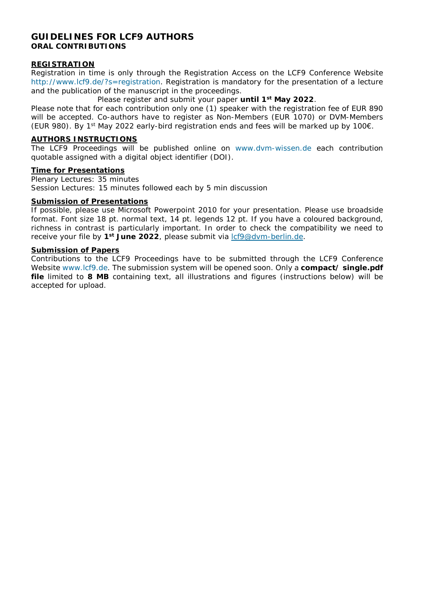# **GUIDELINES FOR LCF9 AUTHORS ORAL CONTRIBUTIONS**

#### **REGISTRATION**

Registration in time is only through the Registration Access on the LCF9 Conference Website [http://www.lcf9.de/?s=registration.](http://www.lcf9.de/?s=registration) Registration is mandatory for the presentation of a lecture and the publication of the manuscript in the proceedings.

Please register and submit your paper **until 1st May 2022**.

Please note that for each contribution only one (1) speaker with the registration fee of EUR 890 will be accepted. Co-authors have to register as Non-Members (EUR 1070) or DVM-Members (EUR 980). By 1<sup>st</sup> May 2022 early-bird registration ends and fees will be marked up by 100 $\varepsilon$ .

### **AUTHORS INSTRUCTIONS**

The LCF9 Proceedings will be published online on [www.dvm-wissen.de](http://www.dvm-wissen.de/) each contribution quotable assigned with a digital object identifier (DOI).

#### **Time for Presentations**

Plenary Lectures: 35 minutes Session Lectures: 15 minutes followed each by 5 min discussion

## **Submission of Presentations**

If possible, please use Microsoft Powerpoint 2010 for your presentation. Please use broadside format. Font size 18 pt. normal text, 14 pt. legends 12 pt. If you have a coloured background, richness in contrast is particularly important. In order to check the compatibility we need to receive your file by **1st June 2022**, please submit via [lcf9@dvm-berlin.de.](mailto:lcf9@dvm-berlin.de)

#### **Submission of Papers**

Contributions to the LCF9 Proceedings have to be submitted through the LCF9 Conference Website [www.lcf9.de.](http://www.lcf9.de/) The submission system will be opened soon. Only a **compact/ single.pdf file** limited to **8 MB** containing text, all illustrations and figures (instructions below) will be accepted for upload.